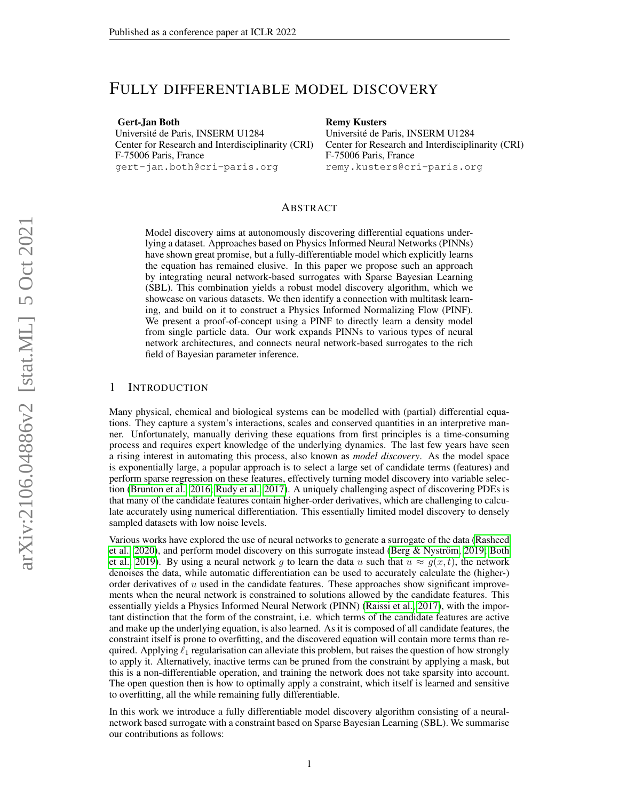# FULLY DIFFERENTIABLE MODEL DISCOVERY

Gert-Jan Both Universite de Paris, INSERM U1284 ´ Center for Research and Interdisciplinarity (CRI) F-75006 Paris, France gert-jan.both@cri-paris.org

#### Remy Kusters

Universite de Paris, INSERM U1284 ´ Center for Research and Interdisciplinarity (CRI) F-75006 Paris, France remy.kusters@cri-paris.org

## ABSTRACT

Model discovery aims at autonomously discovering differential equations underlying a dataset. Approaches based on Physics Informed Neural Networks (PINNs) have shown great promise, but a fully-differentiable model which explicitly learns the equation has remained elusive. In this paper we propose such an approach by integrating neural network-based surrogates with Sparse Bayesian Learning (SBL). This combination yields a robust model discovery algorithm, which we showcase on various datasets. We then identify a connection with multitask learning, and build on it to construct a Physics Informed Normalizing Flow (PINF). We present a proof-of-concept using a PINF to directly learn a density model from single particle data. Our work expands PINNs to various types of neural network architectures, and connects neural network-based surrogates to the rich field of Bayesian parameter inference.

## 1 INTRODUCTION

Many physical, chemical and biological systems can be modelled with (partial) differential equations. They capture a system's interactions, scales and conserved quantities in an interpretive manner. Unfortunately, manually deriving these equations from first principles is a time-consuming process and requires expert knowledge of the underlying dynamics. The last few years have seen a rising interest in automating this process, also known as *model discovery*. As the model space is exponentially large, a popular approach is to select a large set of candidate terms (features) and perform sparse regression on these features, effectively turning model discovery into variable selection [\(Brunton et al., 2016;](#page-9-0) [Rudy et al., 2017\)](#page-9-1). A uniquely challenging aspect of discovering PDEs is that many of the candidate features contain higher-order derivatives, which are challenging to calculate accurately using numerical differentiation. This essentially limited model discovery to densely sampled datasets with low noise levels.

Various works have explored the use of neural networks to generate a surrogate of the data [\(Rasheed](#page-9-2) [et al., 2020\)](#page-9-2), and perform model discovery on this surrogate instead (Berg & Nyström, 2019; [Both](#page-8-1) [et al., 2019\)](#page-8-1). By using a neural network g to learn the data u such that  $u \approx g(x, t)$ , the network denoises the data, while automatic differentiation can be used to accurately calculate the (higher-) order derivatives of  $u$  used in the candidate features. These approaches show significant improvements when the neural network is constrained to solutions allowed by the candidate features. This essentially yields a Physics Informed Neural Network (PINN) [\(Raissi et al., 2017\)](#page-9-3), with the important distinction that the form of the constraint, i.e. which terms of the candidate features are active and make up the underlying equation, is also learned. As it is composed of all candidate features, the constraint itself is prone to overfitting, and the discovered equation will contain more terms than required. Applying  $\ell_1$  regularisation can alleviate this problem, but raises the question of how strongly to apply it. Alternatively, inactive terms can be pruned from the constraint by applying a mask, but this is a non-differentiable operation, and training the network does not take sparsity into account. The open question then is how to optimally apply a constraint, which itself is learned and sensitive to overfitting, all the while remaining fully differentiable.

In this work we introduce a fully differentiable model discovery algorithm consisting of a neuralnetwork based surrogate with a constraint based on Sparse Bayesian Learning (SBL). We summarise our contributions as follows: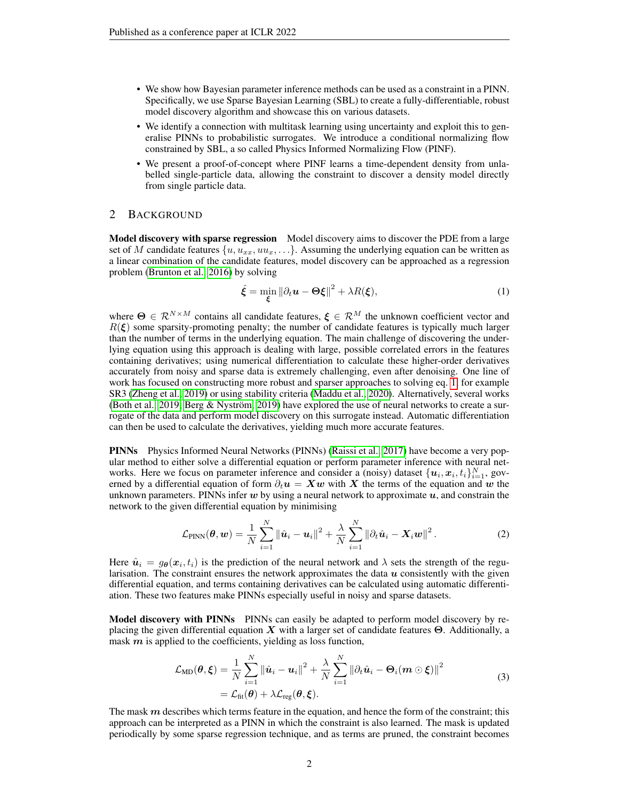- We show how Bayesian parameter inference methods can be used as a constraint in a PINN. Specifically, we use Sparse Bayesian Learning (SBL) to create a fully-differentiable, robust model discovery algorithm and showcase this on various datasets.
- We identify a connection with multitask learning using uncertainty and exploit this to generalise PINNs to probabilistic surrogates. We introduce a conditional normalizing flow constrained by SBL, a so called Physics Informed Normalizing Flow (PINF).
- We present a proof-of-concept where PINF learns a time-dependent density from unlabelled single-particle data, allowing the constraint to discover a density model directly from single particle data.

## 2 BACKGROUND

Model discovery with sparse regression Model discovery aims to discover the PDE from a large set of M candidate features  $\{u, u_{xx}, u_{xx}, \ldots\}$ . Assuming the underlying equation can be written as a linear combination of the candidate features, model discovery can be approached as a regression problem [\(Brunton et al., 2016\)](#page-9-0) by solving

<span id="page-1-0"></span>
$$
\hat{\xi} = \min_{\xi} \left\| \partial_t \boldsymbol{u} - \boldsymbol{\Theta} \boldsymbol{\xi} \right\|^2 + \lambda R(\boldsymbol{\xi}),\tag{1}
$$

where  $\Theta \in \mathcal{R}^{N \times M}$  contains all candidate features,  $\xi \in \mathcal{R}^{M}$  the unknown coefficient vector and  $R(\xi)$  some sparsity-promoting penalty; the number of candidate features is typically much larger than the number of terms in the underlying equation. The main challenge of discovering the underlying equation using this approach is dealing with large, possible correlated errors in the features containing derivatives; using numerical differentiation to calculate these higher-order derivatives accurately from noisy and sparse data is extremely challenging, even after denoising. One line of work has focused on constructing more robust and sparser approaches to solving eq. [1,](#page-1-0) for example SR3 [\(Zheng et al., 2019\)](#page-9-4) or using stability criteria [\(Maddu et al., 2020\)](#page-9-5). Alternatively, several works [\(Both et al., 2019;](#page-8-1) Berg & Nyström, 2019) have explored the use of neural networks to create a surrogate of the data and perform model discovery on this surrogate instead. Automatic differentiation can then be used to calculate the derivatives, yielding much more accurate features.

PINNs Physics Informed Neural Networks (PINNs) [\(Raissi et al., 2017\)](#page-9-3) have become a very popular method to either solve a differential equation or perform parameter inference with neural networks. Here we focus on parameter inference and consider a (noisy) dataset  $\{u_i, x_i, t_i\}_{i=1}^N$ , governed by a differential equation of form  $\partial_t u = Xw$  with X the terms of the equation and w the unknown parameters. PINNs infer  $w$  by using a neural network to approximate  $u$ , and constrain the network to the given differential equation by minimising

<span id="page-1-2"></span>
$$
\mathcal{L}_{\text{PINN}}(\boldsymbol{\theta}, \boldsymbol{w}) = \frac{1}{N} \sum_{i=1}^{N} \|\hat{\boldsymbol{u}}_i - \boldsymbol{u}_i\|^2 + \frac{\lambda}{N} \sum_{i=1}^{N} \|\partial_t \hat{\boldsymbol{u}}_i - \boldsymbol{X}_i \boldsymbol{w}\|^2.
$$
 (2)

Here  $\hat{u}_i = g_{\theta}(x_i, t_i)$  is the prediction of the neural network and  $\lambda$  sets the strength of the regularisation. The constraint ensures the network approximates the data  $\boldsymbol{u}$  consistently with the given differential equation, and terms containing derivatives can be calculated using automatic differentiation. These two features make PINNs especially useful in noisy and sparse datasets.

Model discovery with PINNs PINNs can easily be adapted to perform model discovery by replacing the given differential equation X with a larger set of candidate features  $\Theta$ . Additionally, a mask  $m$  is applied to the coefficients, yielding as loss function,

$$
\mathcal{L}_{MD}(\boldsymbol{\theta}, \boldsymbol{\xi}) = \frac{1}{N} \sum_{i=1}^{N} ||\hat{\boldsymbol{u}}_i - \boldsymbol{u}_i||^2 + \frac{\lambda}{N} \sum_{i=1}^{N} ||\partial_t \hat{\boldsymbol{u}}_i - \boldsymbol{\Theta}_i(\boldsymbol{m} \odot \boldsymbol{\xi})||^2
$$
  
=  $\mathcal{L}_{\text{fit}}(\boldsymbol{\theta}) + \lambda \mathcal{L}_{\text{reg}}(\boldsymbol{\theta}, \boldsymbol{\xi}).$  (3)

<span id="page-1-1"></span>The mask  $m$  describes which terms feature in the equation, and hence the form of the constraint; this approach can be interpreted as a PINN in which the constraint is also learned. The mask is updated periodically by some sparse regression technique, and as terms are pruned, the constraint becomes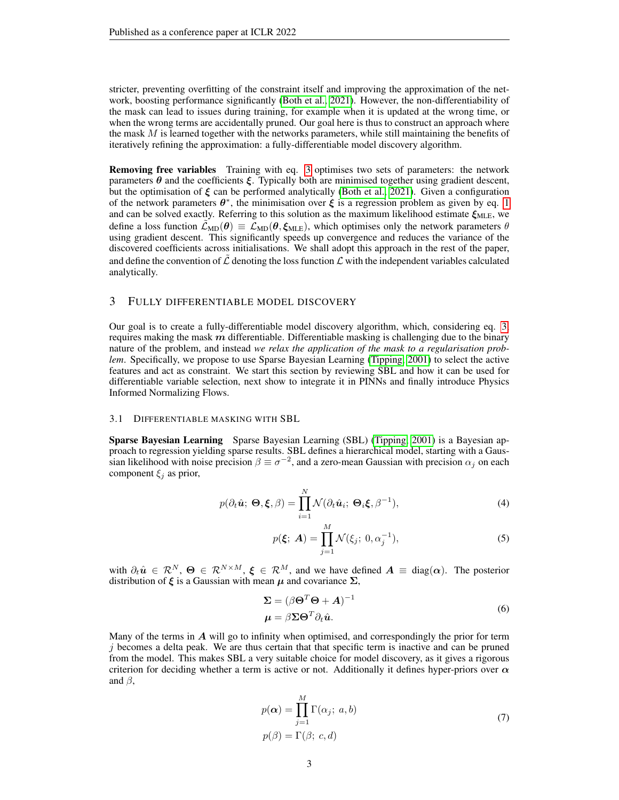stricter, preventing overfitting of the constraint itself and improving the approximation of the network, boosting performance significantly [\(Both et al., 2021\)](#page-8-2). However, the non-differentiability of the mask can lead to issues during training, for example when it is updated at the wrong time, or when the wrong terms are accidentally pruned. Our goal here is thus to construct an approach where the mask  $M$  is learned together with the networks parameters, while still maintaining the benefits of iteratively refining the approximation: a fully-differentiable model discovery algorithm.

Removing free variables Training with eq. [3](#page-1-1) optimises two sets of parameters: the network parameters  $\theta$  and the coefficients  $\xi$ . Typically both are minimised together using gradient descent, but the optimisation of  $\xi$  can be performed analytically [\(Both et al., 2021\)](#page-8-2). Given a configuration of the network parameters  $\theta^*$ , the minimisation over  $\xi$  is a regression problem as given by eq. [1](#page-1-0) and can be solved exactly. Referring to this solution as the maximum likelihood estimate  $\xi_{MLE}$ , we define a loss function  $\mathcal{L}_{MD}(\theta) \equiv \mathcal{L}_{MD}(\theta, \xi_{MLE})$ , which optimises only the network parameters  $\theta$ using gradient descent. This significantly speeds up convergence and reduces the variance of the discovered coefficients across initialisations. We shall adopt this approach in the rest of the paper, and define the convention of  $\mathcal L$  denoting the loss function  $\mathcal L$  with the independent variables calculated analytically.

## 3 FULLY DIFFERENTIABLE MODEL DISCOVERY

Our goal is to create a fully-differentiable model discovery algorithm, which, considering eq. [3,](#page-1-1) requires making the mask  $m$  differentiable. Differentiable masking is challenging due to the binary nature of the problem, and instead *we relax the application of the mask to a regularisation problem.* Specifically, we propose to use Sparse Bayesian Learning [\(Tipping, 2001\)](#page-9-6) to select the active features and act as constraint. We start this section by reviewing SBL and how it can be used for differentiable variable selection, next show to integrate it in PINNs and finally introduce Physics Informed Normalizing Flows.

#### 3.1 DIFFERENTIABLE MASKING WITH SBL

Sparse Bayesian Learning Sparse Bayesian Learning (SBL) [\(Tipping, 2001\)](#page-9-6) is a Bayesian approach to regression yielding sparse results. SBL defines a hierarchical model, starting with a Gaussian likelihood with noise precision  $\beta \equiv \sigma^{-2}$ , and a zero-mean Gaussian with precision  $\alpha_j$  on each component  $\xi_i$  as prior,

$$
p(\partial_t \hat{\mathbf{u}}; \mathbf{\Theta}, \boldsymbol{\xi}, \beta) = \prod_{i=1}^N \mathcal{N}(\partial_t \hat{\mathbf{u}}_i; \mathbf{\Theta}_i \boldsymbol{\xi}, \beta^{-1}),
$$
(4)

$$
p(\xi; \, A) = \prod_{j=1}^{M} \mathcal{N}(\xi_j; \, 0, \alpha_j^{-1}), \tag{5}
$$

with  $\partial_t \hat{u} \in \mathcal{R}^N$ ,  $\Theta \in \mathcal{R}^{N \times M}$ ,  $\xi \in \mathcal{R}^M$ , and we have defined  $A \equiv \text{diag}(\alpha)$ . The posterior distribution of  $\xi$  is a Gaussian with mean  $\mu$  and covariance  $\Sigma$ ,

$$
\Sigma = (\beta \Theta^T \Theta + A)^{-1}
$$
  
\n
$$
\mu = \beta \Sigma \Theta^T \partial_t \hat{u}.
$$
\n(6)

Many of the terms in  $\vec{A}$  will go to infinity when optimised, and correspondingly the prior for term  $j$  becomes a delta peak. We are thus certain that that specific term is inactive and can be pruned from the model. This makes SBL a very suitable choice for model discovery, as it gives a rigorous criterion for deciding whether a term is active or not. Additionally it defines hyper-priors over  $\alpha$ and  $\beta$ ,

$$
p(\alpha) = \prod_{j=1}^{M} \Gamma(\alpha_j; a, b)
$$
  
\n
$$
p(\beta) = \Gamma(\beta; c, d)
$$
\n(7)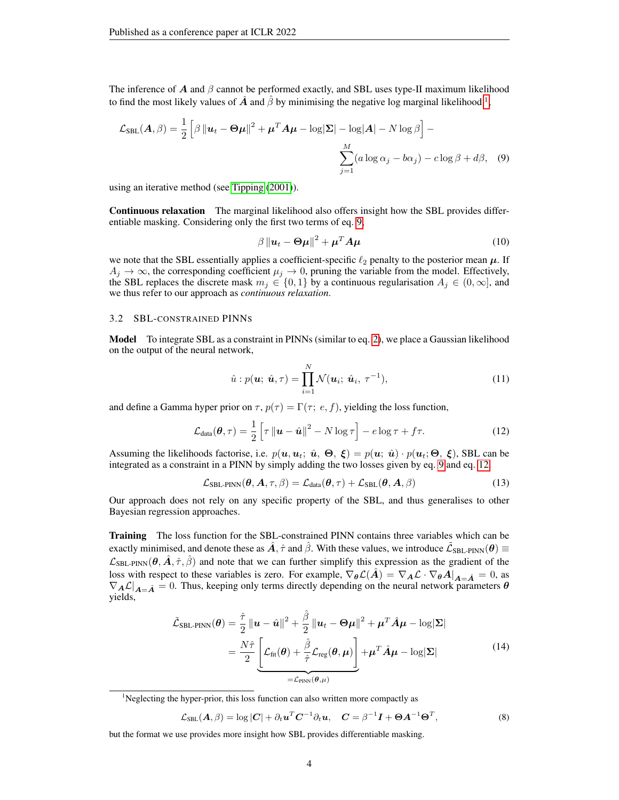The inference of A and  $\beta$  cannot be performed exactly, and SBL uses type-II maximum likelihood to find the most likely values of  $\hat{A}$  and  $\hat{\beta}$  by minimising the negative log marginal likelihood <sup>[1](#page-3-0)</sup>,

$$
\mathcal{L}_{SBL}(A,\beta) = \frac{1}{2} \left[ \beta \left\| \boldsymbol{u}_t - \boldsymbol{\Theta} \boldsymbol{\mu} \right\|^2 + \boldsymbol{\mu}^T A \boldsymbol{\mu} - \log |\boldsymbol{\Sigma}| - \log |A| - N \log \beta \right] - \sum_{j=1}^M (a \log \alpha_j - b \alpha_j) - c \log \beta + d\beta, \quad (9)
$$

using an iterative method (see [Tipping](#page-9-6) [\(2001\)](#page-9-6)).

Continuous relaxation The marginal likelihood also offers insight how the SBL provides differentiable masking. Considering only the first two terms of eq. [9,](#page-3-1)

<span id="page-3-1"></span>
$$
\beta \left\| \boldsymbol{u}_t - \boldsymbol{\Theta} \boldsymbol{\mu} \right\|^2 + \boldsymbol{\mu}^T \boldsymbol{A} \boldsymbol{\mu}
$$
 (10)

we note that the SBL essentially applies a coefficient-specific  $\ell_2$  penalty to the posterior mean  $\mu$ . If  $A_j \to \infty$ , the corresponding coefficient  $\mu_j \to 0$ , pruning the variable from the model. Effectively, the SBL replaces the discrete mask  $m_j \in \{0,1\}$  by a continuous regularisation  $A_j \in (0,\infty]$ , and we thus refer to our approach as *continuous relaxation*.

## 3.2 SBL-CONSTRAINED PINNS

Model To integrate SBL as a constraint in PINNs (similar to eq. [2\)](#page-1-2), we place a Gaussian likelihood on the output of the neural network,

$$
\hat{u}: p(\boldsymbol{u}; \hat{\boldsymbol{u}}, \tau) = \prod_{i=1}^{N} \mathcal{N}(\boldsymbol{u}_i; \hat{\boldsymbol{u}}_i, \tau^{-1}),
$$
\n(11)

and define a Gamma hyper prior on  $\tau$ ,  $p(\tau) = \Gamma(\tau; e, f)$ , yielding the loss function,

<span id="page-3-2"></span>
$$
\mathcal{L}_{\text{data}}(\boldsymbol{\theta}, \tau) = \frac{1}{2} \left[ \tau \left\| \boldsymbol{u} - \hat{\boldsymbol{u}} \right\|^2 - N \log \tau \right] - e \log \tau + f\tau. \tag{12}
$$

Assuming the likelihoods factorise, i.e.  $p(u, u_t; \hat{u}, \Theta, \xi) = p(u; \hat{u}) \cdot p(u_t; \Theta, \xi)$ , SBL can be integrated as a constraint in a PINN by simply adding the two losses given by eq. [9](#page-3-1) and eq. [12,](#page-3-2)

$$
\mathcal{L}_{SBL-PINN}(\boldsymbol{\theta}, \boldsymbol{A}, \tau, \beta) = \mathcal{L}_{data}(\boldsymbol{\theta}, \tau) + \mathcal{L}_{SBL}(\boldsymbol{\theta}, \boldsymbol{A}, \beta)
$$
(13)

Our approach does not rely on any specific property of the SBL, and thus generalises to other Bayesian regression approaches.

**Training** The loss function for the SBL-constrained PINN contains three variables which can be exactly minimised, and denote these as  $\hat{A}$ ,  $\hat{\tau}$  and  $\hat{\beta}$ . With these values, we introduce  $\tilde{\mathcal{L}}_{SBL-PINN}(\theta) \equiv$  $\mathcal{L}_{SBL-PINN}(\theta, \hat{A}, \hat{\tau}, \hat{\beta})$  and note that we can further simplify this expression as the gradient of the loss with respect to these variables is zero. For example,  $\nabla_{\theta} \mathcal{L}(\hat{A}) = \nabla_{A} \mathcal{L} \cdot \nabla_{\theta} A|_{A=\hat{A}} = 0$ , as  $\nabla_A \mathcal{L}|_{A=\hat{A}} = 0$ . Thus, keeping only terms directly depending on the neural network parameters  $\theta$ yields,

$$
\tilde{\mathcal{L}}_{\text{SBL-PINN}}(\boldsymbol{\theta}) = \frac{\hat{\tau}}{2} ||\boldsymbol{u} - \hat{\boldsymbol{u}}||^2 + \frac{\hat{\beta}}{2} ||\boldsymbol{u}_t - \boldsymbol{\Theta}\boldsymbol{\mu}||^2 + \boldsymbol{\mu}^T \hat{\boldsymbol{A}} \boldsymbol{\mu} - \log|\boldsymbol{\Sigma}|
$$
\n
$$
= \frac{N\hat{\tau}}{2} \underbrace{\left[ \mathcal{L}_{\text{fit}}(\boldsymbol{\theta}) + \frac{\hat{\beta}}{\hat{\tau}} \mathcal{L}_{\text{reg}}(\boldsymbol{\theta}, \boldsymbol{\mu}) \right]}_{=\mathcal{L}_{\text{PINN}}(\boldsymbol{\theta}, \boldsymbol{\mu})} + \boldsymbol{\mu}^T \hat{\boldsymbol{A}} \boldsymbol{\mu} - \log|\boldsymbol{\Sigma}| \tag{14}
$$

<span id="page-3-3"></span><span id="page-3-0"></span> $<sup>1</sup>$ Neglecting the hyper-prior, this loss function can also written more compactly as</sup>

$$
\mathcal{L}_{\text{SBL}}(\boldsymbol{A}, \beta) = \log |\boldsymbol{C}| + \partial_t \boldsymbol{u}^T \boldsymbol{C}^{-1} \partial_t \boldsymbol{u}, \quad \boldsymbol{C} = \beta^{-1} \boldsymbol{I} + \boldsymbol{\Theta} \boldsymbol{A}^{-1} \boldsymbol{\Theta}^T,
$$
\n(8)

but the format we use provides more insight how SBL provides differentiable masking.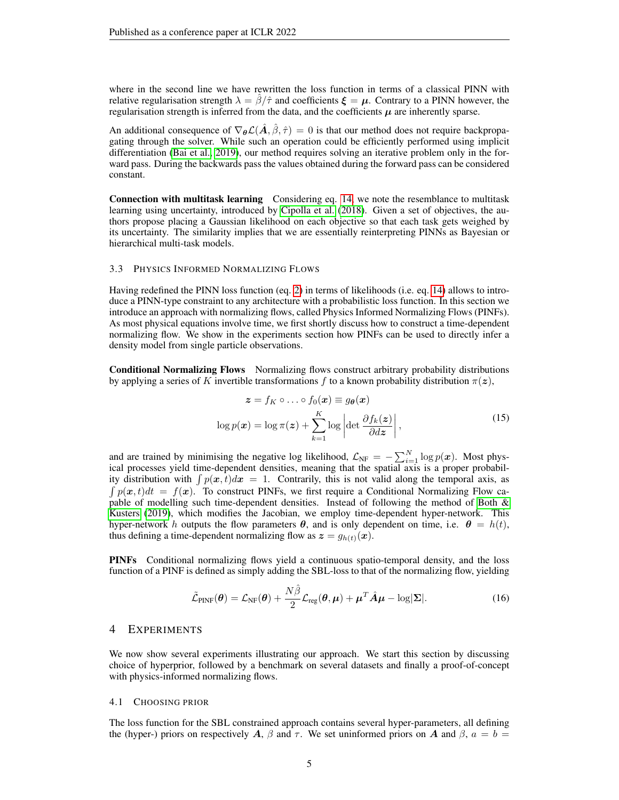where in the second line we have rewritten the loss function in terms of a classical PINN with relative regularisation strength  $\lambda = \beta/\hat{\tau}$  and coefficients  $\xi = \mu$ . Contrary to a PINN however, the regularisation strength is inferred from the data, and the coefficients  $\mu$  are inherently sparse.

An additional consequence of  $\nabla_{\theta} \mathcal{L}(\hat{A}, \hat{\beta}, \hat{\tau}) = 0$  is that our method does not require backpropagating through the solver. While such an operation could be efficiently performed using implicit differentiation [\(Bai et al., 2019\)](#page-8-3), our method requires solving an iterative problem only in the forward pass. During the backwards pass the values obtained during the forward pass can be considered constant.

Connection with multitask learning Considering eq. [14,](#page-3-3) we note the resemblance to multitask learning using uncertainty, introduced by [Cipolla et al.](#page-9-7) [\(2018\)](#page-9-7). Given a set of objectives, the authors propose placing a Gaussian likelihood on each objective so that each task gets weighed by its uncertainty. The similarity implies that we are essentially reinterpreting PINNs as Bayesian or hierarchical multi-task models.

#### 3.3 PHYSICS INFORMED NORMALIZING FLOWS

Having redefined the PINN loss function (eq. [2\)](#page-1-2) in terms of likelihoods (i.e. eq. [14\)](#page-3-3) allows to introduce a PINN-type constraint to any architecture with a probabilistic loss function. In this section we introduce an approach with normalizing flows, called Physics Informed Normalizing Flows (PINFs). As most physical equations involve time, we first shortly discuss how to construct a time-dependent normalizing flow. We show in the experiments section how PINFs can be used to directly infer a density model from single particle observations.

Conditional Normalizing Flows Normalizing flows construct arbitrary probability distributions by applying a series of K invertible transformations f to a known probability distribution  $\pi(z)$ ,

$$
\mathbf{z} = f_K \circ \dots \circ f_0(\mathbf{x}) \equiv g_{\theta}(\mathbf{x})
$$

$$
\log p(\mathbf{x}) = \log \pi(\mathbf{z}) + \sum_{k=1}^{K} \log \left| \det \frac{\partial f_k(\mathbf{z})}{\partial d\mathbf{z}} \right|,
$$
(15)

and are trained by minimising the negative log likelihood,  $\mathcal{L}_{NF} = -\sum_{i=1}^{N} \log p(x)$ . Most physical processes yield time-dependent densities, meaning that the spatial axis is a proper probability distribution with  $\int p(x, t)dx = 1$ . Contrarily, this is not valid along the temporal axis, as  $\int p(x, t)dt = f(x)$ . To construct PINFs, we first require a Conditional Normalizing Flow capable of modelling such time-dependent densities. Instead of following the method of [Both &](#page-8-4) [Kusters](#page-8-4) [\(2019\)](#page-8-4), which modifies the Jacobian, we employ time-dependent hyper-network. This hyper-network h outputs the flow parameters  $\theta$ , and is only dependent on time, i.e.  $\theta = h(t)$ , thus defining a time-dependent normalizing flow as  $z = g_{h(t)}(x)$ .

PINFs Conditional normalizing flows yield a continuous spatio-temporal density, and the loss function of a PINF is defined as simply adding the SBL-loss to that of the normalizing flow, yielding

$$
\tilde{\mathcal{L}}_{\text{PINF}}(\boldsymbol{\theta}) = \mathcal{L}_{\text{NF}}(\boldsymbol{\theta}) + \frac{N\hat{\beta}}{2} \mathcal{L}_{\text{reg}}(\boldsymbol{\theta}, \boldsymbol{\mu}) + \boldsymbol{\mu}^T \hat{\boldsymbol{A}} \boldsymbol{\mu} - \log |\boldsymbol{\Sigma}|.
$$
 (16)

#### 4 EXPERIMENTS

We now show several experiments illustrating our approach. We start this section by discussing choice of hyperprior, followed by a benchmark on several datasets and finally a proof-of-concept with physics-informed normalizing flows.

#### 4.1 CHOOSING PRIOR

The loss function for the SBL constrained approach contains several hyper-parameters, all defining the (hyper-) priors on respectively A,  $\beta$  and  $\tau$ . We set uninformed priors on A and  $\beta$ ,  $a = b =$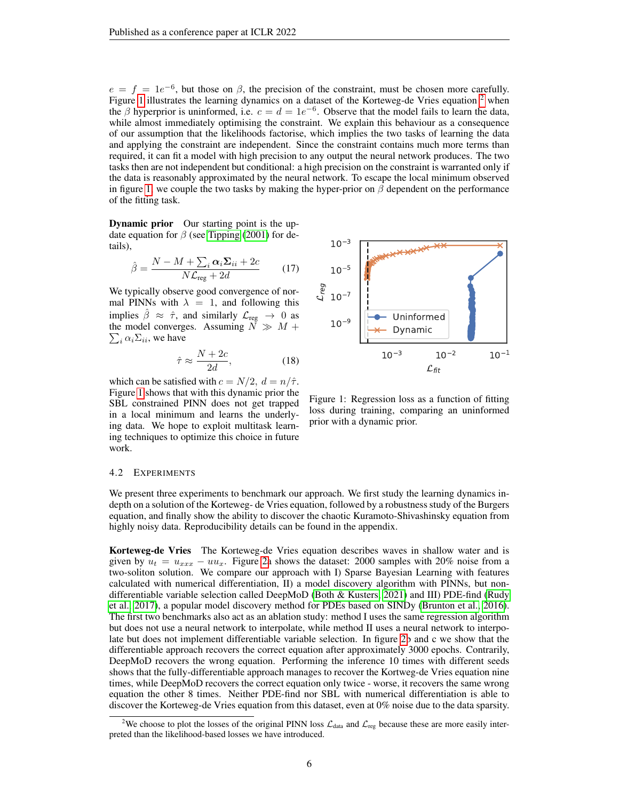$e = f = 1e^{-6}$ , but those on  $\beta$ , the precision of the constraint, must be chosen more carefully. Figure [1](#page-5-0) illustrates the learning dynamics on a dataset of the Korteweg-de Vries equation  $2$  when the  $\beta$  hyperprior is uninformed, i.e.  $c = d = 1e^{-6}$ . Observe that the model fails to learn the data, while almost immediately optimising the constraint. We explain this behaviour as a consequence of our assumption that the likelihoods factorise, which implies the two tasks of learning the data and applying the constraint are independent. Since the constraint contains much more terms than required, it can fit a model with high precision to any output the neural network produces. The two tasks then are not independent but conditional: a high precision on the constraint is warranted only if the data is reasonably approximated by the neural network. To escape the local minimum observed in figure [1,](#page-5-0) we couple the two tasks by making the hyper-prior on  $\beta$  dependent on the performance of the fitting task.

**Dynamic prior** Our starting point is the update equation for  $\beta$  (see [Tipping](#page-9-6) [\(2001\)](#page-9-6) for details),

$$
\hat{\beta} = \frac{N - M + \sum_{i} \alpha_{i} \Sigma_{ii} + 2c}{N \mathcal{L}_{\text{reg}} + 2d} \tag{17}
$$

We typically observe good convergence of normal PINNs with  $\lambda = 1$ , and following this implies  $\hat{\beta} \approx \hat{\tau}$ , and similarly  $\mathcal{L}_{reg} \rightarrow 0$  as the model converges. Assuming  $N \gg M +$  $\sum_i \alpha_i \Sigma_{ii}$ , we have

$$
\hat{\tau} \approx \frac{N + 2c}{2d},\tag{18}
$$

which can be satisfied with  $c = N/2$ ,  $d = n/\hat{\tau}$ . Figure [1](#page-5-0) shows that with this dynamic prior the SBL constrained PINN does not get trapped in a local minimum and learns the underlying data. We hope to exploit multitask learning techniques to optimize this choice in future work.



<span id="page-5-0"></span>Figure 1: Regression loss as a function of fitting loss during training, comparing an uninformed prior with a dynamic prior.

#### 4.2 EXPERIMENTS

We present three experiments to benchmark our approach. We first study the learning dynamics indepth on a solution of the Korteweg- de Vries equation, followed by a robustness study of the Burgers equation, and finally show the ability to discover the chaotic Kuramoto-Shivashinsky equation from highly noisy data. Reproducibility details can be found in the appendix.

Korteweg-de Vries The Korteweg-de Vries equation describes waves in shallow water and is given by  $u_t = u_{xxx} - uu_x$ . Figure [2a](#page-6-0) shows the dataset: 2000 samples with 20% noise from a two-soliton solution. We compare our approach with I) Sparse Bayesian Learning with features calculated with numerical differentiation, II) a model discovery algorithm with PINNs, but nondifferentiable variable selection called DeepMoD [\(Both & Kusters, 2021\)](#page-8-5) and III) PDE-find [\(Rudy](#page-9-1) [et al., 2017\)](#page-9-1), a popular model discovery method for PDEs based on SINDy [\(Brunton et al., 2016\)](#page-9-0). The first two benchmarks also act as an ablation study: method I uses the same regression algorithm but does not use a neural network to interpolate, while method II uses a neural network to interpolate but does not implement differentiable variable selection. In figure [2b](#page-6-0) and c we show that the differentiable approach recovers the correct equation after approximately 3000 epochs. Contrarily, DeepMoD recovers the wrong equation. Performing the inference 10 times with different seeds shows that the fully-differentiable approach manages to recover the Kortweg-de Vries equation nine times, while DeepMoD recovers the correct equation only twice - worse, it recovers the same wrong equation the other 8 times. Neither PDE-find nor SBL with numerical differentiation is able to discover the Korteweg-de Vries equation from this dataset, even at 0% noise due to the data sparsity.

<span id="page-5-1"></span><sup>&</sup>lt;sup>2</sup>We choose to plot the losses of the original PINN loss  $\mathcal{L}_{data}$  and  $\mathcal{L}_{reg}$  because these are more easily interpreted than the likelihood-based losses we have introduced.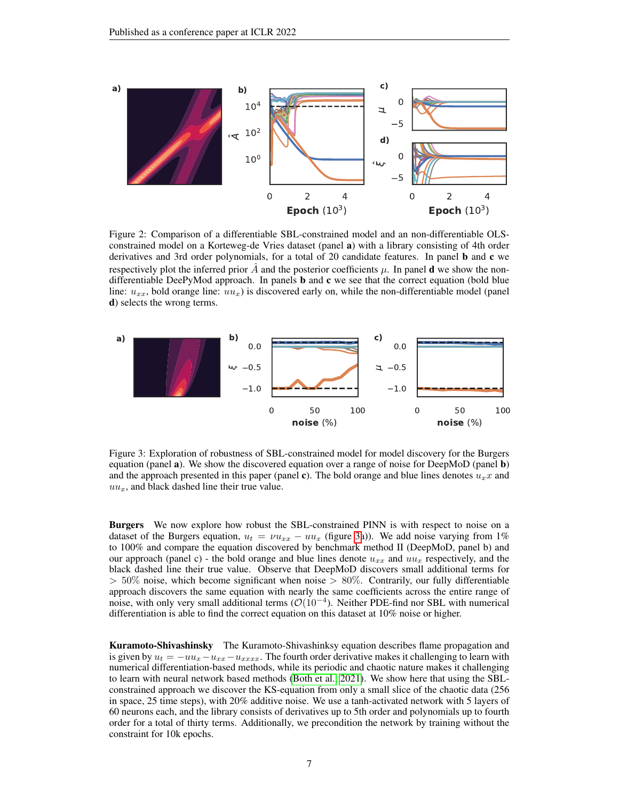

<span id="page-6-0"></span>Figure 2: Comparison of a differentiable SBL-constrained model and an non-differentiable OLSconstrained model on a Korteweg-de Vries dataset (panel a) with a library consisting of 4th order derivatives and 3rd order polynomials, for a total of 20 candidate features. In panel b and c we respectively plot the inferred prior A and the posterior coefficients  $\mu$ . In panel **d** we show the nondifferentiable DeePyMod approach. In panels  **and**  $**c**$  **we see that the correct equation (bold blue** line:  $u_{xx}$ , bold orange line:  $uu_x$ ) is discovered early on, while the non-differentiable model (panel d) selects the wrong terms.



<span id="page-6-1"></span>Figure 3: Exploration of robustness of SBL-constrained model for model discovery for the Burgers equation (panel  $\bf{a}$ ). We show the discovered equation over a range of noise for DeepMoD (panel  $\bf{b}$ ) and the approach presented in this paper (panel c). The bold orange and blue lines denotes  $u_x x$  and  $uu_x$ , and black dashed line their true value.

**Burgers** We now explore how robust the SBL-constrained PINN is with respect to noise on a dataset of the Burgers equation,  $u_t = \nu u_{xx} - uu_x$  (figure [3a](#page-6-1))). We add noise varying from 1% to 100% and compare the equation discovered by benchmark method II (DeepMoD, panel b) and our approach (panel c) - the bold orange and blue lines denote  $u_{xx}$  and  $uu_x$  respectively, and the black dashed line their true value. Observe that DeepMoD discovers small additional terms for  $> 50\%$  noise, which become significant when noise  $> 80\%$ . Contrarily, our fully differentiable approach discovers the same equation with nearly the same coefficients across the entire range of noise, with only very small additional terms ( $\mathcal{O}(10^{-4})$ ). Neither PDE-find nor SBL with numerical differentiation is able to find the correct equation on this dataset at 10% noise or higher.

Kuramoto-Shivashinsky The Kuramoto-Shivashinksy equation describes flame propagation and is given by  $u_t = -uu_x - u_{xxx} - u_{xxxx}$ . The fourth order derivative makes it challenging to learn with numerical differentiation-based methods, while its periodic and chaotic nature makes it challenging to learn with neural network based methods [\(Both et al., 2021\)](#page-8-2). We show here that using the SBLconstrained approach we discover the KS-equation from only a small slice of the chaotic data (256 in space, 25 time steps), with 20% additive noise. We use a tanh-activated network with 5 layers of 60 neurons each, and the library consists of derivatives up to 5th order and polynomials up to fourth order for a total of thirty terms. Additionally, we precondition the network by training without the constraint for 10k epochs.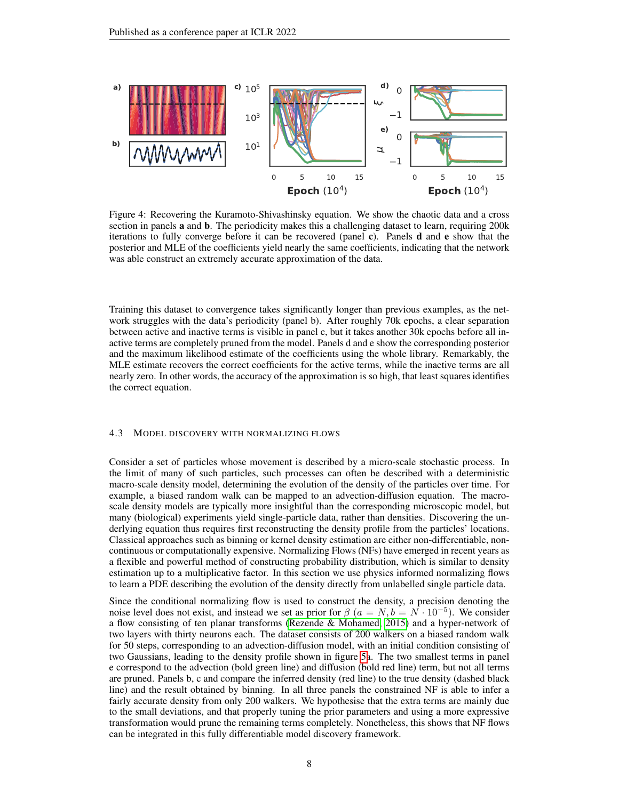

Figure 4: Recovering the Kuramoto-Shivashinsky equation. We show the chaotic data and a cross section in panels **a** and **b**. The periodicity makes this a challenging dataset to learn, requiring 200k iterations to fully converge before it can be recovered (panel c). Panels d and e show that the posterior and MLE of the coefficients yield nearly the same coefficients, indicating that the network was able construct an extremely accurate approximation of the data.

Training this dataset to convergence takes significantly longer than previous examples, as the network struggles with the data's periodicity (panel b). After roughly 70k epochs, a clear separation between active and inactive terms is visible in panel c, but it takes another 30k epochs before all inactive terms are completely pruned from the model. Panels d and e show the corresponding posterior and the maximum likelihood estimate of the coefficients using the whole library. Remarkably, the MLE estimate recovers the correct coefficients for the active terms, while the inactive terms are all nearly zero. In other words, the accuracy of the approximation is so high, that least squares identifies the correct equation.

## 4.3 MODEL DISCOVERY WITH NORMALIZING FLOWS

Consider a set of particles whose movement is described by a micro-scale stochastic process. In the limit of many of such particles, such processes can often be described with a deterministic macro-scale density model, determining the evolution of the density of the particles over time. For example, a biased random walk can be mapped to an advection-diffusion equation. The macroscale density models are typically more insightful than the corresponding microscopic model, but many (biological) experiments yield single-particle data, rather than densities. Discovering the underlying equation thus requires first reconstructing the density profile from the particles' locations. Classical approaches such as binning or kernel density estimation are either non-differentiable, noncontinuous or computationally expensive. Normalizing Flows (NFs) have emerged in recent years as a flexible and powerful method of constructing probability distribution, which is similar to density estimation up to a multiplicative factor. In this section we use physics informed normalizing flows to learn a PDE describing the evolution of the density directly from unlabelled single particle data.

Since the conditional normalizing flow is used to construct the density, a precision denoting the noise level does not exist, and instead we set as prior for  $\beta$   $(a = N, b = N \cdot 10^{-5})$ . We consider a flow consisting of ten planar transforms [\(Rezende & Mohamed, 2015\)](#page-9-8) and a hyper-network of two layers with thirty neurons each. The dataset consists of 200 walkers on a biased random walk for 50 steps, corresponding to an advection-diffusion model, with an initial condition consisting of two Gaussians, leading to the density profile shown in figure [5a](#page-8-6). The two smallest terms in panel e correspond to the advection (bold green line) and diffusion (bold red line) term, but not all terms are pruned. Panels b, c and compare the inferred density (red line) to the true density (dashed black line) and the result obtained by binning. In all three panels the constrained NF is able to infer a fairly accurate density from only 200 walkers. We hypothesise that the extra terms are mainly due to the small deviations, and that properly tuning the prior parameters and using a more expressive transformation would prune the remaining terms completely. Nonetheless, this shows that NF flows can be integrated in this fully differentiable model discovery framework.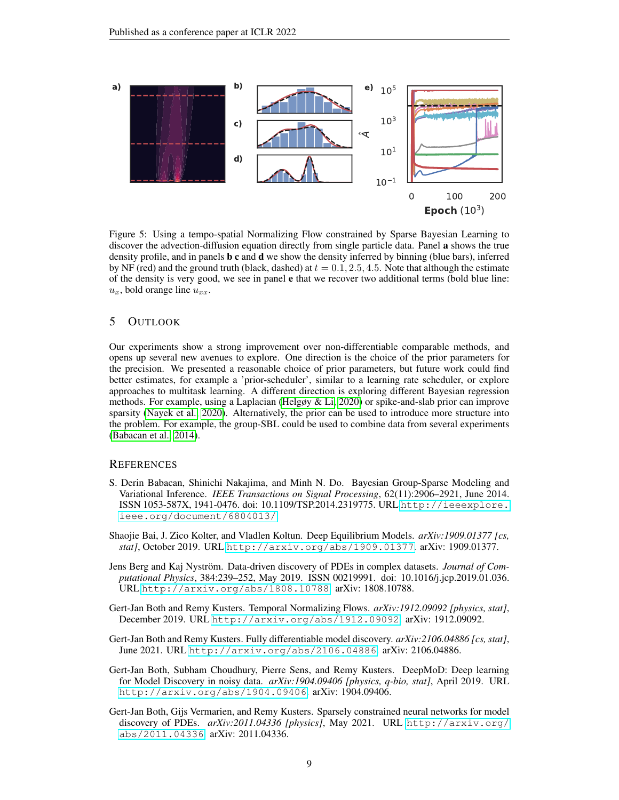

<span id="page-8-6"></span>Figure 5: Using a tempo-spatial Normalizing Flow constrained by Sparse Bayesian Learning to discover the advection-diffusion equation directly from single particle data. Panel a shows the true density profile, and in panels b c and d we show the density inferred by binning (blue bars), inferred by NF (red) and the ground truth (black, dashed) at  $t = 0.1, 2.5, 4.5$ . Note that although the estimate of the density is very good, we see in panel e that we recover two additional terms (bold blue line:  $u_x$ , bold orange line  $u_{xx}$ .

## 5 OUTLOOK

Our experiments show a strong improvement over non-differentiable comparable methods, and opens up several new avenues to explore. One direction is the choice of the prior parameters for the precision. We presented a reasonable choice of prior parameters, but future work could find better estimates, for example a 'prior-scheduler', similar to a learning rate scheduler, or explore approaches to multitask learning. A different direction is exploring different Bayesian regression methods. For example, using a Laplacian [\(Helgøy & Li, 2020\)](#page-9-9) or spike-and-slab prior can improve sparsity [\(Nayek et al., 2020\)](#page-9-10). Alternatively, the prior can be used to introduce more structure into the problem. For example, the group-SBL could be used to combine data from several experiments [\(Babacan et al., 2014\)](#page-8-7).

## **REFERENCES**

- <span id="page-8-7"></span>S. Derin Babacan, Shinichi Nakajima, and Minh N. Do. Bayesian Group-Sparse Modeling and Variational Inference. *IEEE Transactions on Signal Processing*, 62(11):2906–2921, June 2014. ISSN 1053-587X, 1941-0476. doi: 10.1109/TSP.2014.2319775. URL [http://ieeexplore.](http://ieeexplore.ieee.org/document/6804013/) [ieee.org/document/6804013/](http://ieeexplore.ieee.org/document/6804013/).
- <span id="page-8-3"></span>Shaojie Bai, J. Zico Kolter, and Vladlen Koltun. Deep Equilibrium Models. *arXiv:1909.01377 [cs, stat]*, October 2019. URL <http://arxiv.org/abs/1909.01377>. arXiv: 1909.01377.
- <span id="page-8-0"></span>Jens Berg and Kaj Nyström. Data-driven discovery of PDEs in complex datasets. *Journal of Computational Physics*, 384:239–252, May 2019. ISSN 00219991. doi: 10.1016/j.jcp.2019.01.036. URL <http://arxiv.org/abs/1808.10788>. arXiv: 1808.10788.
- <span id="page-8-4"></span>Gert-Jan Both and Remy Kusters. Temporal Normalizing Flows. *arXiv:1912.09092 [physics, stat]*, December 2019. URL <http://arxiv.org/abs/1912.09092>. arXiv: 1912.09092.
- <span id="page-8-5"></span>Gert-Jan Both and Remy Kusters. Fully differentiable model discovery. *arXiv:2106.04886 [cs, stat]*, June 2021. URL <http://arxiv.org/abs/2106.04886>. arXiv: 2106.04886.
- <span id="page-8-1"></span>Gert-Jan Both, Subham Choudhury, Pierre Sens, and Remy Kusters. DeepMoD: Deep learning for Model Discovery in noisy data. *arXiv:1904.09406 [physics, q-bio, stat]*, April 2019. URL <http://arxiv.org/abs/1904.09406>. arXiv: 1904.09406.
- <span id="page-8-2"></span>Gert-Jan Both, Gijs Vermarien, and Remy Kusters. Sparsely constrained neural networks for model discovery of PDEs. *arXiv:2011.04336 [physics]*, May 2021. URL [http://arxiv.org/](http://arxiv.org/abs/2011.04336) [abs/2011.04336](http://arxiv.org/abs/2011.04336). arXiv: 2011.04336.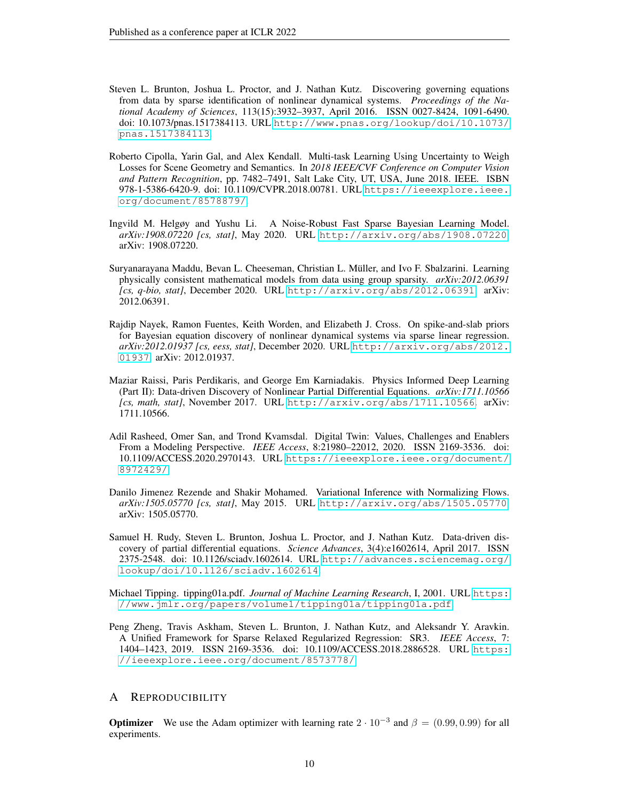- <span id="page-9-0"></span>Steven L. Brunton, Joshua L. Proctor, and J. Nathan Kutz. Discovering governing equations from data by sparse identification of nonlinear dynamical systems. *Proceedings of the National Academy of Sciences*, 113(15):3932–3937, April 2016. ISSN 0027-8424, 1091-6490. doi: 10.1073/pnas.1517384113. URL [http://www.pnas.org/lookup/doi/10.1073/](http://www.pnas.org/lookup/doi/10.1073/pnas.1517384113) [pnas.1517384113](http://www.pnas.org/lookup/doi/10.1073/pnas.1517384113).
- <span id="page-9-7"></span>Roberto Cipolla, Yarin Gal, and Alex Kendall. Multi-task Learning Using Uncertainty to Weigh Losses for Scene Geometry and Semantics. In *2018 IEEE/CVF Conference on Computer Vision and Pattern Recognition*, pp. 7482–7491, Salt Lake City, UT, USA, June 2018. IEEE. ISBN 978-1-5386-6420-9. doi: 10.1109/CVPR.2018.00781. URL [https://ieeexplore.ieee.](https://ieeexplore.ieee.org/document/8578879/) [org/document/8578879/](https://ieeexplore.ieee.org/document/8578879/).
- <span id="page-9-9"></span>Ingvild M. Helgøy and Yushu Li. A Noise-Robust Fast Sparse Bayesian Learning Model. *arXiv:1908.07220 [cs, stat]*, May 2020. URL <http://arxiv.org/abs/1908.07220>. arXiv: 1908.07220.
- <span id="page-9-5"></span>Suryanarayana Maddu, Bevan L. Cheeseman, Christian L. Muller, and Ivo F. Sbalzarini. Learning ¨ physically consistent mathematical models from data using group sparsity. *arXiv:2012.06391 [cs, q-bio, stat]*, December 2020. URL <http://arxiv.org/abs/2012.06391>. arXiv: 2012.06391.
- <span id="page-9-10"></span>Rajdip Nayek, Ramon Fuentes, Keith Worden, and Elizabeth J. Cross. On spike-and-slab priors for Bayesian equation discovery of nonlinear dynamical systems via sparse linear regression. *arXiv:2012.01937 [cs, eess, stat]*, December 2020. URL [http://arxiv.org/abs/2012.](http://arxiv.org/abs/2012.01937) [01937](http://arxiv.org/abs/2012.01937). arXiv: 2012.01937.
- <span id="page-9-3"></span>Maziar Raissi, Paris Perdikaris, and George Em Karniadakis. Physics Informed Deep Learning (Part II): Data-driven Discovery of Nonlinear Partial Differential Equations. *arXiv:1711.10566 [cs, math, stat]*, November 2017. URL <http://arxiv.org/abs/1711.10566>. arXiv: 1711.10566.
- <span id="page-9-2"></span>Adil Rasheed, Omer San, and Trond Kvamsdal. Digital Twin: Values, Challenges and Enablers From a Modeling Perspective. *IEEE Access*, 8:21980–22012, 2020. ISSN 2169-3536. doi: 10.1109/ACCESS.2020.2970143. URL [https://ieeexplore.ieee.org/document/](https://ieeexplore.ieee.org/document/8972429/) [8972429/](https://ieeexplore.ieee.org/document/8972429/).
- <span id="page-9-8"></span>Danilo Jimenez Rezende and Shakir Mohamed. Variational Inference with Normalizing Flows. *arXiv:1505.05770 [cs, stat]*, May 2015. URL <http://arxiv.org/abs/1505.05770>. arXiv: 1505.05770.
- <span id="page-9-1"></span>Samuel H. Rudy, Steven L. Brunton, Joshua L. Proctor, and J. Nathan Kutz. Data-driven discovery of partial differential equations. *Science Advances*, 3(4):e1602614, April 2017. ISSN 2375-2548. doi: 10.1126/sciadv.1602614. URL [http://advances.sciencemag.org/](http://advances.sciencemag.org/lookup/doi/10.1126/sciadv.1602614) [lookup/doi/10.1126/sciadv.1602614](http://advances.sciencemag.org/lookup/doi/10.1126/sciadv.1602614).
- <span id="page-9-6"></span>Michael Tipping. tipping01a.pdf. *Journal of Machine Learning Research*, I, 2001. URL [https:](https://www.jmlr.org/papers/volume1/tipping01a/tipping01a.pdf) [//www.jmlr.org/papers/volume1/tipping01a/tipping01a.pdf](https://www.jmlr.org/papers/volume1/tipping01a/tipping01a.pdf).
- <span id="page-9-4"></span>Peng Zheng, Travis Askham, Steven L. Brunton, J. Nathan Kutz, and Aleksandr Y. Aravkin. A Unified Framework for Sparse Relaxed Regularized Regression: SR3. *IEEE Access*, 7: 1404–1423, 2019. ISSN 2169-3536. doi: 10.1109/ACCESS.2018.2886528. URL [https:](https://ieeexplore.ieee.org/document/8573778/) [//ieeexplore.ieee.org/document/8573778/](https://ieeexplore.ieee.org/document/8573778/).

## A REPRODUCIBILITY

**Optimizer** We use the Adam optimizer with learning rate  $2 \cdot 10^{-3}$  and  $\beta = (0.99, 0.99)$  for all experiments.